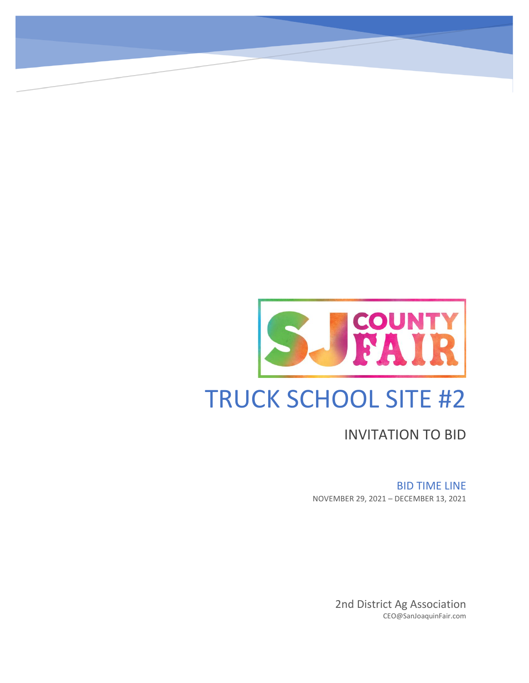

INVITATION TO BID

BID TIME LINE

NOVEMBER 29, 2021 – DECEMBER 13, 2021

2nd District Ag Association CEO@SanJoaquinFair.com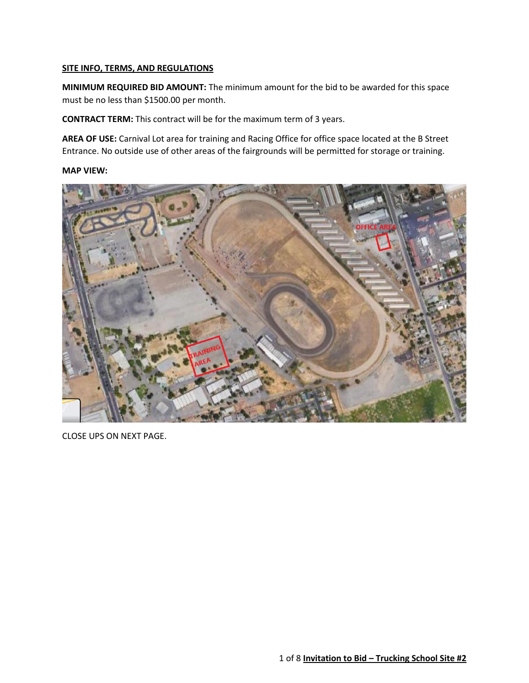#### **SITE INFO, TERMS, AND REGULATIONS**

**MINIMUM REQUIRED BID AMOUNT:** The minimum amount for the bid to be awarded for this space must be no less than \$1500.00 per month.

**CONTRACT TERM:** This contract will be for the maximum term of 3 years.

**AREA OF USE:** Carnival Lot area for training and Racing Office for office space located at the B Street Entrance. No outside use of other areas of the fairgrounds will be permitted for storage or training.

#### **MAP VIEW:**



CLOSE UPS ON NEXT PAGE.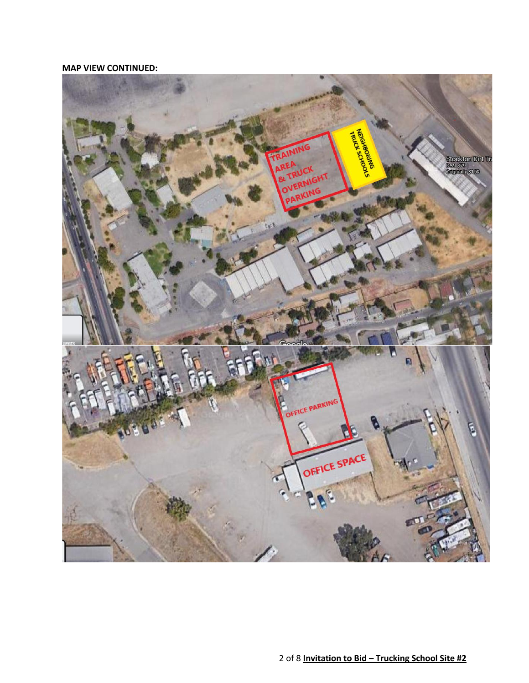### **MAP VIEW CONTINUED:**

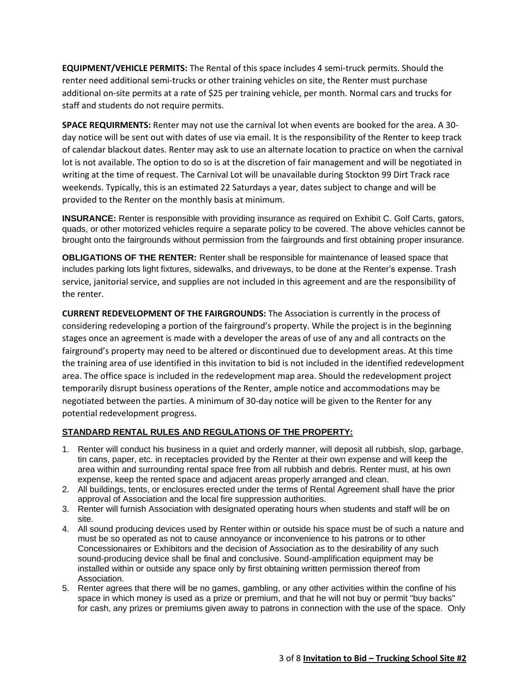**EQUIPMENT/VEHICLE PERMITS:** The Rental of this space includes 4 semi-truck permits. Should the renter need additional semi-trucks or other training vehicles on site, the Renter must purchase additional on-site permits at a rate of \$25 per training vehicle, per month. Normal cars and trucks for staff and students do not require permits.

**SPACE REQUIRMENTS:** Renter may not use the carnival lot when events are booked for the area. A 30 day notice will be sent out with dates of use via email. It is the responsibility of the Renter to keep track of calendar blackout dates. Renter may ask to use an alternate location to practice on when the carnival lot is not available. The option to do so is at the discretion of fair management and will be negotiated in writing at the time of request. The Carnival Lot will be unavailable during Stockton 99 Dirt Track race weekends. Typically, this is an estimated 22 Saturdays a year, dates subject to change and will be provided to the Renter on the monthly basis at minimum.

**INSURANCE:** Renter is responsible with providing insurance as required on Exhibit C. Golf Carts, gators, quads, or other motorized vehicles require a separate policy to be covered. The above vehicles cannot be brought onto the fairgrounds without permission from the fairgrounds and first obtaining proper insurance.

**OBLIGATIONS OF THE RENTER:** Renter shall be responsible for maintenance of leased space that includes parking lots light fixtures, sidewalks, and driveways, to be done at the Renter's expense. Trash service, janitorial service, and supplies are not included in this agreement and are the responsibility of the renter.

**CURRENT REDEVELOPMENT OF THE FAIRGROUNDS:** The Association is currently in the process of considering redeveloping a portion of the fairground's property. While the project is in the beginning stages once an agreement is made with a developer the areas of use of any and all contracts on the fairground's property may need to be altered or discontinued due to development areas. At this time the training area of use identified in this invitation to bid is not included in the identified redevelopment area. The office space is included in the redevelopment map area. Should the redevelopment project temporarily disrupt business operations of the Renter, ample notice and accommodations may be negotiated between the parties. A minimum of 30-day notice will be given to the Renter for any potential redevelopment progress.

## **STANDARD RENTAL RULES AND REGULATIONS OF THE PROPERTY:**

- 1. Renter will conduct his business in a quiet and orderly manner, will deposit all rubbish, slop, garbage, tin cans, paper, etc. in receptacles provided by the Renter at their own expense and will keep the area within and surrounding rental space free from all rubbish and debris. Renter must, at his own expense, keep the rented space and adjacent areas properly arranged and clean.
- 2. All buildings, tents, or enclosures erected under the terms of Rental Agreement shall have the prior approval of Association and the local fire suppression authorities.
- 3. Renter will furnish Association with designated operating hours when students and staff will be on site.
- 4. All sound producing devices used by Renter within or outside his space must be of such a nature and must be so operated as not to cause annoyance or inconvenience to his patrons or to other Concessionaires or Exhibitors and the decision of Association as to the desirability of any such sound-producing device shall be final and conclusive. Sound-amplification equipment may be installed within or outside any space only by first obtaining written permission thereof from Association.
- 5. Renter agrees that there will be no games, gambling, or any other activities within the confine of his space in which money is used as a prize or premium, and that he will not buy or permit "buy backs" for cash, any prizes or premiums given away to patrons in connection with the use of the space. Only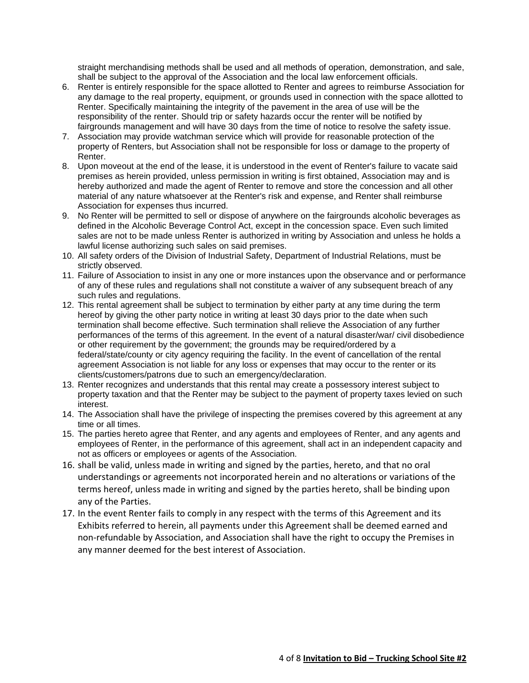straight merchandising methods shall be used and all methods of operation, demonstration, and sale, shall be subject to the approval of the Association and the local law enforcement officials.

- 6. Renter is entirely responsible for the space allotted to Renter and agrees to reimburse Association for any damage to the real property, equipment, or grounds used in connection with the space allotted to Renter. Specifically maintaining the integrity of the pavement in the area of use will be the responsibility of the renter. Should trip or safety hazards occur the renter will be notified by fairgrounds management and will have 30 days from the time of notice to resolve the safety issue.
- 7. Association may provide watchman service which will provide for reasonable protection of the property of Renters, but Association shall not be responsible for loss or damage to the property of Renter.
- 8. Upon moveout at the end of the lease, it is understood in the event of Renter's failure to vacate said premises as herein provided, unless permission in writing is first obtained, Association may and is hereby authorized and made the agent of Renter to remove and store the concession and all other material of any nature whatsoever at the Renter's risk and expense, and Renter shall reimburse Association for expenses thus incurred.
- 9. No Renter will be permitted to sell or dispose of anywhere on the fairgrounds alcoholic beverages as defined in the Alcoholic Beverage Control Act, except in the concession space. Even such limited sales are not to be made unless Renter is authorized in writing by Association and unless he holds a lawful license authorizing such sales on said premises.
- 10. All safety orders of the Division of Industrial Safety, Department of Industrial Relations, must be strictly observed.
- 11. Failure of Association to insist in any one or more instances upon the observance and or performance of any of these rules and regulations shall not constitute a waiver of any subsequent breach of any such rules and regulations.
- 12. This rental agreement shall be subject to termination by either party at any time during the term hereof by giving the other party notice in writing at least 30 days prior to the date when such termination shall become effective. Such termination shall relieve the Association of any further performances of the terms of this agreement. In the event of a natural disaster/war/ civil disobedience or other requirement by the government; the grounds may be required/ordered by a federal/state/county or city agency requiring the facility. In the event of cancellation of the rental agreement Association is not liable for any loss or expenses that may occur to the renter or its clients/customers/patrons due to such an emergency/declaration.
- 13. Renter recognizes and understands that this rental may create a possessory interest subject to property taxation and that the Renter may be subject to the payment of property taxes levied on such interest.
- 14. The Association shall have the privilege of inspecting the premises covered by this agreement at any time or all times.
- 15. The parties hereto agree that Renter, and any agents and employees of Renter, and any agents and employees of Renter, in the performance of this agreement, shall act in an independent capacity and not as officers or employees or agents of the Association.
- 16. shall be valid, unless made in writing and signed by the parties, hereto, and that no oral understandings or agreements not incorporated herein and no alterations or variations of the terms hereof, unless made in writing and signed by the parties hereto, shall be binding upon any of the Parties.
- 17. In the event Renter fails to comply in any respect with the terms of this Agreement and its Exhibits referred to herein, all payments under this Agreement shall be deemed earned and non-refundable by Association, and Association shall have the right to occupy the Premises in any manner deemed for the best interest of Association.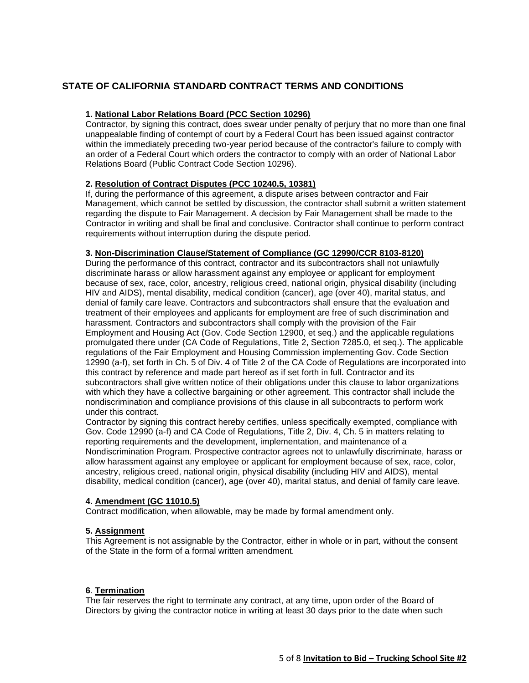## **STATE OF CALIFORNIA STANDARD CONTRACT TERMS AND CONDITIONS**

#### **1. National Labor Relations Board (PCC Section 10296)**

Contractor, by signing this contract, does swear under penalty of perjury that no more than one final unappealable finding of contempt of court by a Federal Court has been issued against contractor within the immediately preceding two-year period because of the contractor's failure to comply with an order of a Federal Court which orders the contractor to comply with an order of National Labor Relations Board (Public Contract Code Section 10296).

#### **2. Resolution of Contract Disputes (PCC 10240.5, 10381)**

If, during the performance of this agreement, a dispute arises between contractor and Fair Management, which cannot be settled by discussion, the contractor shall submit a written statement regarding the dispute to Fair Management. A decision by Fair Management shall be made to the Contractor in writing and shall be final and conclusive. Contractor shall continue to perform contract requirements without interruption during the dispute period.

#### **3. Non-Discrimination Clause/Statement of Compliance (GC 12990/CCR 8103-8120)**

During the performance of this contract, contractor and its subcontractors shall not unlawfully discriminate harass or allow harassment against any employee or applicant for employment because of sex, race, color, ancestry, religious creed, national origin, physical disability (including HIV and AIDS), mental disability, medical condition (cancer), age (over 40), marital status, and denial of family care leave. Contractors and subcontractors shall ensure that the evaluation and treatment of their employees and applicants for employment are free of such discrimination and harassment. Contractors and subcontractors shall comply with the provision of the Fair Employment and Housing Act (Gov. Code Section 12900, et seq.) and the applicable regulations promulgated there under (CA Code of Regulations, Title 2, Section 7285.0, et seq.). The applicable regulations of the Fair Employment and Housing Commission implementing Gov. Code Section 12990 (a-f), set forth in Ch. 5 of Div. 4 of Title 2 of the CA Code of Regulations are incorporated into this contract by reference and made part hereof as if set forth in full. Contractor and its subcontractors shall give written notice of their obligations under this clause to labor organizations with which they have a collective bargaining or other agreement. This contractor shall include the nondiscrimination and compliance provisions of this clause in all subcontracts to perform work under this contract.

Contractor by signing this contract hereby certifies, unless specifically exempted, compliance with Gov. Code 12990 (a-f) and CA Code of Regulations, Title 2, Div. 4, Ch. 5 in matters relating to reporting requirements and the development, implementation, and maintenance of a Nondiscrimination Program. Prospective contractor agrees not to unlawfully discriminate, harass or allow harassment against any employee or applicant for employment because of sex, race, color, ancestry, religious creed, national origin, physical disability (including HIV and AIDS), mental disability, medical condition (cancer), age (over 40), marital status, and denial of family care leave.

#### **4. Amendment (GC 11010.5)**

Contract modification, when allowable, may be made by formal amendment only.

#### **5. Assignment**

This Agreement is not assignable by the Contractor, either in whole or in part, without the consent of the State in the form of a formal written amendment.

#### **6**. **Termination**

The fair reserves the right to terminate any contract, at any time, upon order of the Board of Directors by giving the contractor notice in writing at least 30 days prior to the date when such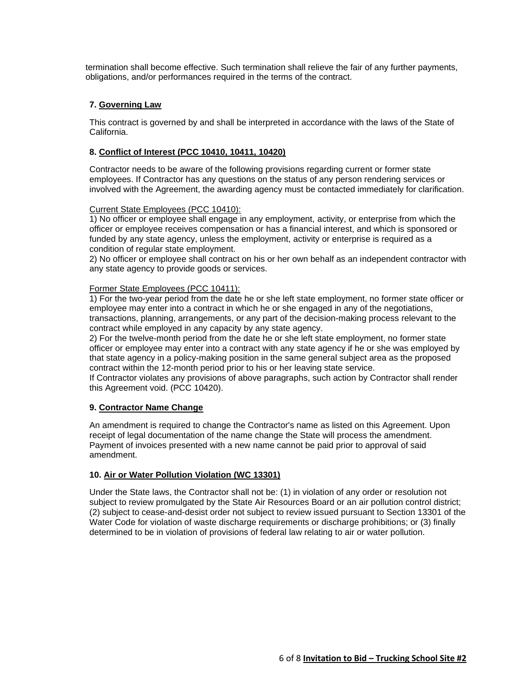termination shall become effective. Such termination shall relieve the fair of any further payments, obligations, and/or performances required in the terms of the contract.

#### **7. Governing Law**

This contract is governed by and shall be interpreted in accordance with the laws of the State of California.

#### **8. Conflict of Interest (PCC 10410, 10411, 10420)**

Contractor needs to be aware of the following provisions regarding current or former state employees. If Contractor has any questions on the status of any person rendering services or involved with the Agreement, the awarding agency must be contacted immediately for clarification.

#### Current State Employees (PCC 10410):

1) No officer or employee shall engage in any employment, activity, or enterprise from which the officer or employee receives compensation or has a financial interest, and which is sponsored or funded by any state agency, unless the employment, activity or enterprise is required as a condition of regular state employment.

2) No officer or employee shall contract on his or her own behalf as an independent contractor with any state agency to provide goods or services.

#### Former State Employees (PCC 10411):

1) For the two-year period from the date he or she left state employment, no former state officer or employee may enter into a contract in which he or she engaged in any of the negotiations, transactions, planning, arrangements, or any part of the decision-making process relevant to the contract while employed in any capacity by any state agency.

2) For the twelve-month period from the date he or she left state employment, no former state officer or employee may enter into a contract with any state agency if he or she was employed by that state agency in a policy-making position in the same general subject area as the proposed contract within the 12-month period prior to his or her leaving state service.

If Contractor violates any provisions of above paragraphs, such action by Contractor shall render this Agreement void. (PCC 10420).

#### **9. Contractor Name Change**

An amendment is required to change the Contractor's name as listed on this Agreement. Upon receipt of legal documentation of the name change the State will process the amendment. Payment of invoices presented with a new name cannot be paid prior to approval of said amendment.

#### **10. Air or Water Pollution Violation (WC 13301)**

Under the State laws, the Contractor shall not be: (1) in violation of any order or resolution not subject to review promulgated by the State Air Resources Board or an air pollution control district; (2) subject to cease-and-desist order not subject to review issued pursuant to Section 13301 of the Water Code for violation of waste discharge requirements or discharge prohibitions; or (3) finally determined to be in violation of provisions of federal law relating to air or water pollution.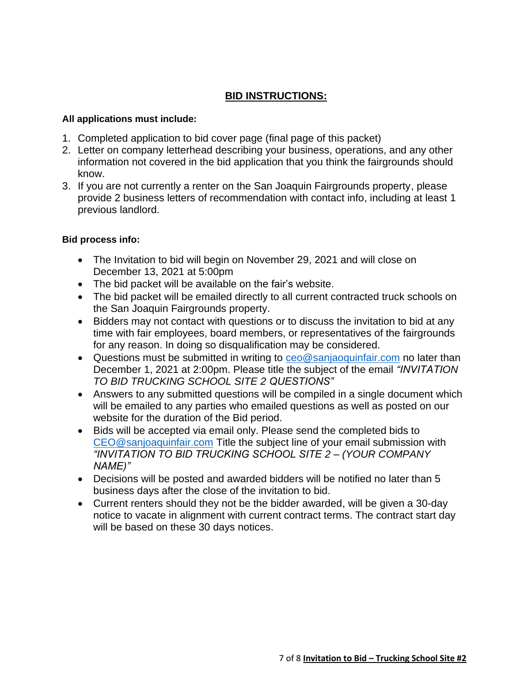## **BID INSTRUCTIONS:**

## **All applications must include:**

- 1. Completed application to bid cover page (final page of this packet)
- 2. Letter on company letterhead describing your business, operations, and any other information not covered in the bid application that you think the fairgrounds should know.
- 3. If you are not currently a renter on the San Joaquin Fairgrounds property, please provide 2 business letters of recommendation with contact info, including at least 1 previous landlord.

## **Bid process info:**

- The Invitation to bid will begin on November 29, 2021 and will close on December 13, 2021 at 5:00pm
- The bid packet will be available on the fair's website.
- The bid packet will be emailed directly to all current contracted truck schools on the San Joaquin Fairgrounds property.
- Bidders may not contact with questions or to discuss the invitation to bid at any time with fair employees, board members, or representatives of the fairgrounds for any reason. In doing so disqualification may be considered.
- Questions must be submitted in writing to [ceo@sanjaoquinfair.com](mailto:ceo@sanjaoquinfair.com) no later than December 1, 2021 at 2:00pm. Please title the subject of the email *"INVITATION TO BID TRUCKING SCHOOL SITE 2 QUESTIONS"*
- Answers to any submitted questions will be compiled in a single document which will be emailed to any parties who emailed questions as well as posted on our website for the duration of the Bid period.
- Bids will be accepted via email only. Please send the completed bids to [CEO@sanjoaquinfair.com](mailto:CEO@sanjoaquinfair.com) Title the subject line of your email submission with *"INVITATION TO BID TRUCKING SCHOOL SITE 2 – (YOUR COMPANY NAME)"*
- Decisions will be posted and awarded bidders will be notified no later than 5 business days after the close of the invitation to bid.
- Current renters should they not be the bidder awarded, will be given a 30-day notice to vacate in alignment with current contract terms. The contract start day will be based on these 30 days notices.